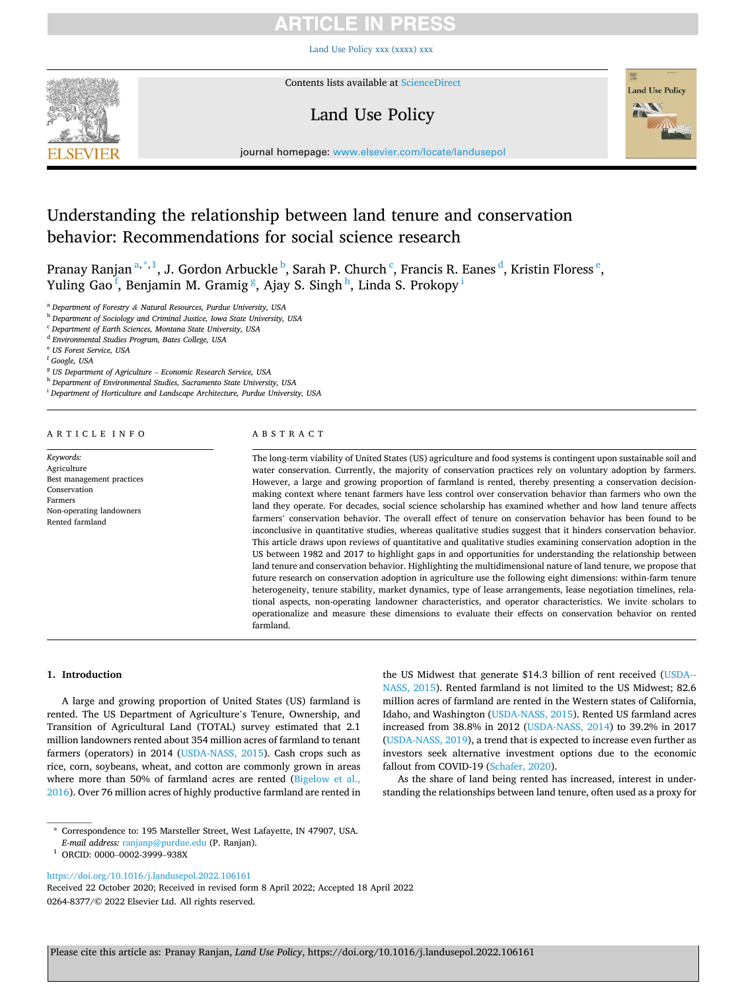# RTICLE IN PRES

[Land Use Policy xxx \(xxxx\) xxx](https://doi.org/10.1016/j.landusepol.2022.106161)



Contents lists available at [ScienceDirect](www.sciencedirect.com/science/journal/02648377)

# Land Use Policy



journal homepage: [www.elsevier.com/locate/landusepol](https://www.elsevier.com/locate/landusepol)

# Understanding the relationship between land tenure and conservation behavior: Recommendations for social science research

Pranay Ranjan <sup>a, \*, 1</sup>, J. Gordon Arbuckle <sup>b</sup>, Sarah P. Church <sup>c</sup>, Francis R. Eanes <sup>d</sup>, Kristin Floress <sup>e</sup>, Yuling Gao<sup>f</sup>, Benjamin M. Gramig<sup>g</sup>, Ajay S. Singh<sup>h</sup>, Linda S. Prokopy<sup>i</sup>

<sup>a</sup> *Department of Forestry & Natural Resources, Purdue University, USA* 

<sup>b</sup> *Department of Sociology and Criminal Justice, Iowa State University, USA* 

<sup>c</sup> *Department of Earth Sciences, Montana State University, USA* 

<sup>d</sup> *Environmental Studies Program, Bates College, USA* 

<sup>e</sup> *US Forest Service, USA* 

<sup>f</sup> *Google, USA* 

<sup>g</sup> *US Department of Agriculture* – *Economic Research Service, USA* 

<sup>h</sup> *Department of Environmental Studies, Sacramento State University, USA* 

<sup>i</sup> *Department of Horticulture and Landscape Architecture, Purdue University, USA* 

### ARTICLE INFO

*Keywords:*  Agriculture Best management practices Conservation Farmers Non-operating landowners Rented farmland

### ABSTRACT

The long-term viability of United States (US) agriculture and food systems is contingent upon sustainable soil and water conservation. Currently, the majority of conservation practices rely on voluntary adoption by farmers. However, a large and growing proportion of farmland is rented, thereby presenting a conservation decisionmaking context where tenant farmers have less control over conservation behavior than farmers who own the land they operate. For decades, social science scholarship has examined whether and how land tenure affects farmers' conservation behavior. The overall effect of tenure on conservation behavior has been found to be inconclusive in quantitative studies, whereas qualitative studies suggest that it hinders conservation behavior. This article draws upon reviews of quantitative and qualitative studies examining conservation adoption in the US between 1982 and 2017 to highlight gaps in and opportunities for understanding the relationship between land tenure and conservation behavior. Highlighting the multidimensional nature of land tenure, we propose that future research on conservation adoption in agriculture use the following eight dimensions: within-farm tenure heterogeneity, tenure stability, market dynamics, type of lease arrangements, lease negotiation timelines, relational aspects, non-operating landowner characteristics, and operator characteristics. We invite scholars to operationalize and measure these dimensions to evaluate their effects on conservation behavior on rented farmland.

### **1. Introduction**

A large and growing proportion of United States (US) farmland is rented. The US Department of Agriculture's Tenure, Ownership, and Transition of Agricultural Land (TOTAL) survey estimated that 2.1 million landowners rented about 354 million acres of farmland to tenant farmers (operators) in 2014 ([USDA-NASS, 2015](#page-5-0)). Cash crops such as rice, corn, soybeans, wheat, and cotton are commonly grown in areas where more than 50% of farmland acres are rented (Bigelow et al., [2016\)](#page-4-0). Over 76 million acres of highly productive farmland are rented in

\* Correspondence to: 195 Marsteller Street, West Lafayette, IN 47907, USA.

<sup>1</sup> ORCID: 0000-0002-3999-938X

<https://doi.org/10.1016/j.landusepol.2022.106161>

0264-8377/© 2022 Elsevier Ltd. All rights reserved. Received 22 October 2020; Received in revised form 8 April 2022; Accepted 18 April 2022

the US Midwest that generate \$14.3 billion of rent received ([USDA--](#page-5-0)[NASS, 2015](#page-5-0)). Rented farmland is not limited to the US Midwest; 82.6 million acres of farmland are rented in the Western states of California, Idaho, and Washington ([USDA-NASS, 2015\)](#page-5-0). Rented US farmland acres increased from 38.8% in 2012 [\(USDA-NASS, 2014](#page-5-0)) to 39.2% in 2017 ([USDA-NASS, 2019\)](#page-5-0), a trend that is expected to increase even further as investors seek alternative investment options due to the economic fallout from COVID-19 [\(Schafer, 2020](#page-5-0)).

As the share of land being rented has increased, interest in understanding the relationships between land tenure, often used as a proxy for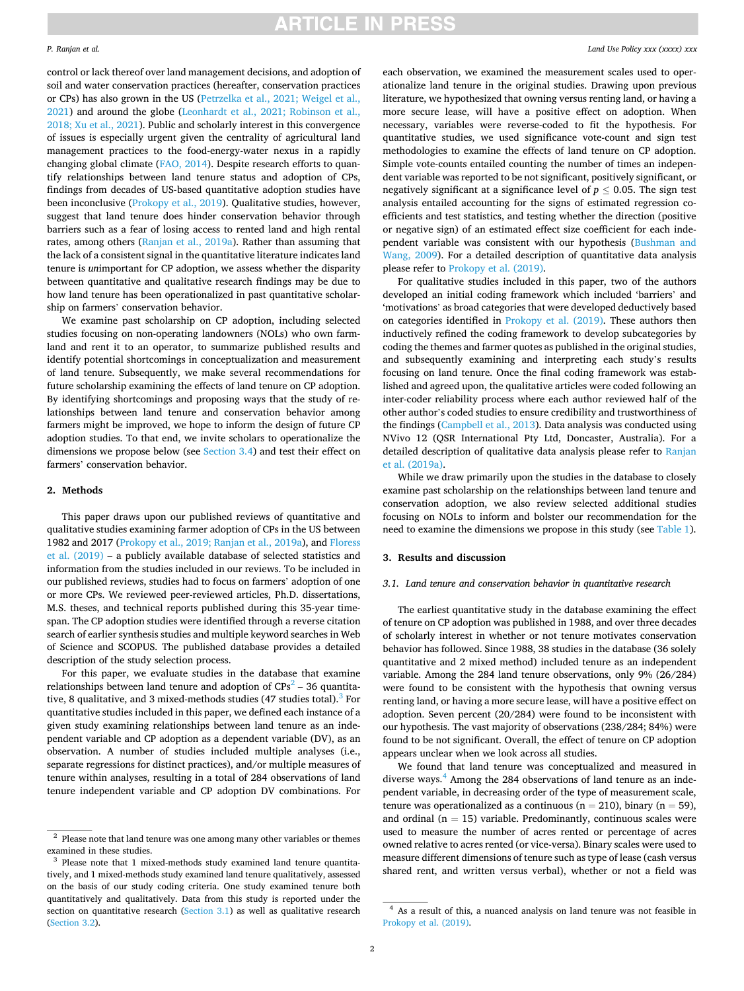control or lack thereof over land management decisions, and adoption of soil and water conservation practices (hereafter, conservation practices or CPs) has also grown in the US ([Petrzelka et al., 2021; Weigel et al.,](#page-4-0)  [2021\)](#page-4-0) and around the globe ([Leonhardt et al., 2021; Robinson et al.,](#page-4-0)  [2018; Xu et al., 2021](#page-4-0)). Public and scholarly interest in this convergence of issues is especially urgent given the centrality of agricultural land management practices to the food-energy-water nexus in a rapidly changing global climate ([FAO, 2014\)](#page-4-0). Despite research efforts to quantify relationships between land tenure status and adoption of CPs, findings from decades of US-based quantitative adoption studies have been inconclusive ([Prokopy et al., 2019\)](#page-4-0). Qualitative studies, however, suggest that land tenure does hinder conservation behavior through barriers such as a fear of losing access to rented land and high rental rates, among others ([Ranjan et al., 2019a](#page-5-0)). Rather than assuming that the lack of a consistent signal in the quantitative literature indicates land tenure is *un*important for CP adoption, we assess whether the disparity between quantitative and qualitative research findings may be due to how land tenure has been operationalized in past quantitative scholarship on farmers' conservation behavior.

We examine past scholarship on CP adoption, including selected studies focusing on non-operating landowners (NOLs) who own farmland and rent it to an operator, to summarize published results and identify potential shortcomings in conceptualization and measurement of land tenure. Subsequently, we make several recommendations for future scholarship examining the effects of land tenure on CP adoption. By identifying shortcomings and proposing ways that the study of relationships between land tenure and conservation behavior among farmers might be improved, we hope to inform the design of future CP adoption studies. To that end, we invite scholars to operationalize the dimensions we propose below (see [Section 3.4\)](#page-2-0) and test their effect on farmers' conservation behavior.

### **2. Methods**

This paper draws upon our published reviews of quantitative and qualitative studies examining farmer adoption of CPs in the US between 1982 and 2017 ([Prokopy et al., 2019; Ranjan et al., 2019a\)](#page-4-0), and [Floress](#page-4-0)  [et al. \(2019\)](#page-4-0) – a publicly available database of selected statistics and information from the studies included in our reviews. To be included in our published reviews, studies had to focus on farmers' adoption of one or more CPs. We reviewed peer-reviewed articles, Ph.D. dissertations, M.S. theses, and technical reports published during this 35-year timespan. The CP adoption studies were identified through a reverse citation search of earlier synthesis studies and multiple keyword searches in Web of Science and SCOPUS. The published database provides a detailed description of the study selection process.

For this paper, we evaluate studies in the database that examine relationships between land tenure and adoption of  $CPs<sup>2</sup> - 36$  quantitative, 8 qualitative, and 3 mixed-methods studies (47 studies total).<sup>3</sup> For quantitative studies included in this paper, we defined each instance of a given study examining relationships between land tenure as an independent variable and CP adoption as a dependent variable (DV), as an observation. A number of studies included multiple analyses (i.e., separate regressions for distinct practices), and/or multiple measures of tenure within analyses, resulting in a total of 284 observations of land tenure independent variable and CP adoption DV combinations. For each observation, we examined the measurement scales used to operationalize land tenure in the original studies. Drawing upon previous literature, we hypothesized that owning versus renting land, or having a more secure lease, will have a positive effect on adoption. When necessary, variables were reverse-coded to fit the hypothesis. For quantitative studies, we used significance vote-count and sign test methodologies to examine the effects of land tenure on CP adoption. Simple vote-counts entailed counting the number of times an independent variable was reported to be not significant, positively significant, or negatively significant at a significance level of  $p \leq 0.05$ . The sign test analysis entailed accounting for the signs of estimated regression coefficients and test statistics, and testing whether the direction (positive or negative sign) of an estimated effect size coefficient for each independent variable was consistent with our hypothesis [\(Bushman and](#page-4-0)  [Wang, 2009](#page-4-0)). For a detailed description of quantitative data analysis please refer to [Prokopy et al. \(2019\)](#page-4-0).

For qualitative studies included in this paper, two of the authors developed an initial coding framework which included 'barriers' and 'motivations' as broad categories that were developed deductively based on categories identified in [Prokopy et al. \(2019\)](#page-4-0). These authors then inductively refined the coding framework to develop subcategories by coding the themes and farmer quotes as published in the original studies, and subsequently examining and interpreting each study's results focusing on land tenure. Once the final coding framework was established and agreed upon, the qualitative articles were coded following an inter-coder reliability process where each author reviewed half of the other author's coded studies to ensure credibility and trustworthiness of the findings [\(Campbell et al., 2013\)](#page-4-0). Data analysis was conducted using NVivo 12 (QSR International Pty Ltd, Doncaster, Australia). For a detailed description of qualitative data analysis please refer to [Ranjan](#page-5-0)  [et al. \(2019a\).](#page-5-0)

While we draw primarily upon the studies in the database to closely examine past scholarship on the relationships between land tenure and conservation adoption, we also review selected additional studies focusing on NOLs to inform and bolster our recommendation for the need to examine the dimensions we propose in this study (see [Table 1](#page-2-0)).

#### **3. Results and discussion**

#### *3.1. Land tenure and conservation behavior in quantitative research*

The earliest quantitative study in the database examining the effect of tenure on CP adoption was published in 1988, and over three decades of scholarly interest in whether or not tenure motivates conservation behavior has followed. Since 1988, 38 studies in the database (36 solely quantitative and 2 mixed method) included tenure as an independent variable. Among the 284 land tenure observations, only 9% (26/284) were found to be consistent with the hypothesis that owning versus renting land, or having a more secure lease, will have a positive effect on adoption. Seven percent (20/284) were found to be inconsistent with our hypothesis. The vast majority of observations (238/284; 84%) were found to be not significant. Overall, the effect of tenure on CP adoption appears unclear when we look across all studies.

We found that land tenure was conceptualized and measured in diverse ways. $4$  Among the 284 observations of land tenure as an independent variable, in decreasing order of the type of measurement scale, tenure was operationalized as a continuous ( $n = 210$ ), binary ( $n = 59$ ), and ordinal ( $n = 15$ ) variable. Predominantly, continuous scales were used to measure the number of acres rented or percentage of acres owned relative to acres rented (or vice-versa). Binary scales were used to measure different dimensions of tenure such as type of lease (cash versus shared rent, and written versus verbal), whether or not a field was

 $^{\rm 2}$  Please note that land tenure was one among many other variables or themes examined in these studies.<br> $3$  Please note that 1 mixed-methods study examined land tenure quantita-

tively, and 1 mixed-methods study examined land tenure qualitatively, assessed on the basis of our study coding criteria. One study examined tenure both quantitatively and qualitatively. Data from this study is reported under the section on quantitative research (Section 3.1) as well as qualitative research [\(Section 3.2\)](#page-2-0).

<sup>4</sup> As a result of this, a nuanced analysis on land tenure was not feasible in [Prokopy et al. \(2019\)](#page-4-0).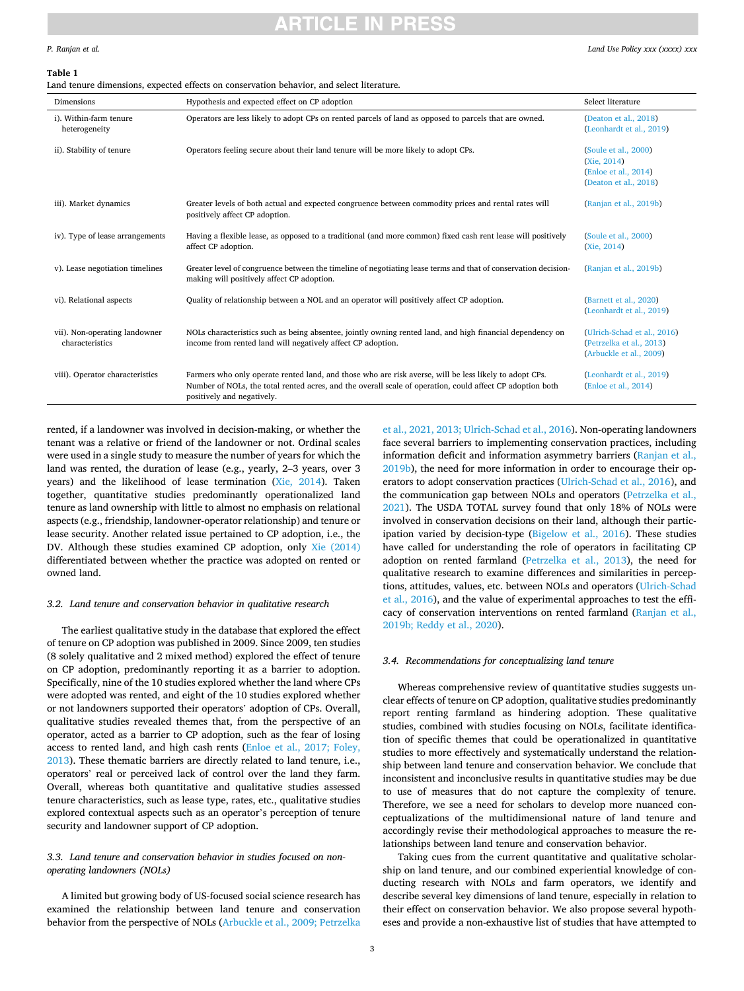# ICI E

#### <span id="page-2-0"></span>*P. Ranjan et al.*

#### **Table 1**

Land tenure dimensions, expected effects on conservation behavior, and select literature.

| Dimensions                                       | Hypothesis and expected effect on CP adoption                                                                                                                                                                                                     | Select literature                                                                    |
|--------------------------------------------------|---------------------------------------------------------------------------------------------------------------------------------------------------------------------------------------------------------------------------------------------------|--------------------------------------------------------------------------------------|
| i). Within-farm tenure<br>heterogeneity          | Operators are less likely to adopt CPs on rented parcels of land as opposed to parcels that are owned.                                                                                                                                            | (Deaton et al., 2018)<br>(Leonhardt et al., 2019)                                    |
| ii). Stability of tenure                         | Operators feeling secure about their land tenure will be more likely to adopt CPs.                                                                                                                                                                | (Soule et al., 2000)<br>(Xie, 2014)<br>(Enloe et al., 2014)<br>(Deaton et al., 2018) |
| iii). Market dynamics                            | Greater levels of both actual and expected congruence between commodity prices and rental rates will<br>positively affect CP adoption.                                                                                                            | (Ranjan et al., 2019b)                                                               |
| iv). Type of lease arrangements                  | Having a flexible lease, as opposed to a traditional (and more common) fixed cash rent lease will positively<br>affect CP adoption.                                                                                                               | (Soule et al., 2000)<br>(Xie, 2014)                                                  |
| v). Lease negotiation timelines                  | Greater level of congruence between the timeline of negotiating lease terms and that of conservation decision-<br>making will positively affect CP adoption.                                                                                      | (Ranjan et al., 2019b)                                                               |
| vi). Relational aspects                          | Quality of relationship between a NOL and an operator will positively affect CP adoption.                                                                                                                                                         | (Barnett et al., 2020)<br>(Leonhardt et al., 2019)                                   |
| vii). Non-operating landowner<br>characteristics | NOLs characteristics such as being absentee, jointly owning rented land, and high financial dependency on<br>income from rented land will negatively affect CP adoption.                                                                          | (Ulrich-Schad et al., 2016)<br>(Petrzelka et al., 2013)<br>(Arbuckle et al., 2009)   |
| viii). Operator characteristics                  | Farmers who only operate rented land, and those who are risk averse, will be less likely to adopt CPs.<br>Number of NOLs, the total rented acres, and the overall scale of operation, could affect CP adoption both<br>positively and negatively. | (Leonhardt et al., 2019)<br>(Enloe et al., 2014)                                     |

rented, if a landowner was involved in decision-making, or whether the tenant was a relative or friend of the landowner or not. Ordinal scales were used in a single study to measure the number of years for which the land was rented, the duration of lease (e.g., yearly, 2–3 years, over 3 years) and the likelihood of lease termination ([Xie, 2014](#page-5-0)). Taken together, quantitative studies predominantly operationalized land tenure as land ownership with little to almost no emphasis on relational aspects (e.g., friendship, landowner-operator relationship) and tenure or lease security. Another related issue pertained to CP adoption, i.e., the DV. Although these studies examined CP adoption, only [Xie \(2014\)](#page-5-0)  differentiated between whether the practice was adopted on rented or owned land.

### *3.2. Land tenure and conservation behavior in qualitative research*

The earliest qualitative study in the database that explored the effect of tenure on CP adoption was published in 2009. Since 2009, ten studies (8 solely qualitative and 2 mixed method) explored the effect of tenure on CP adoption, predominantly reporting it as a barrier to adoption. Specifically, nine of the 10 studies explored whether the land where CPs were adopted was rented, and eight of the 10 studies explored whether or not landowners supported their operators' adoption of CPs. Overall, qualitative studies revealed themes that, from the perspective of an operator, acted as a barrier to CP adoption, such as the fear of losing access to rented land, and high cash rents [\(Enloe et al., 2017; Foley,](#page-4-0)  [2013\)](#page-4-0). These thematic barriers are directly related to land tenure, i.e., operators' real or perceived lack of control over the land they farm. Overall, whereas both quantitative and qualitative studies assessed tenure characteristics, such as lease type, rates, etc., qualitative studies explored contextual aspects such as an operator's perception of tenure security and landowner support of CP adoption.

### *3.3. Land tenure and conservation behavior in studies focused on nonoperating landowners (NOLs)*

A limited but growing body of US-focused social science research has examined the relationship between land tenure and conservation behavior from the perspective of NOLs [\(Arbuckle et al., 2009; Petrzelka](#page-4-0) 

[et al., 2021, 2013; Ulrich-Schad et al., 2016](#page-4-0)). Non-operating landowners face several barriers to implementing conservation practices, including information deficit and information asymmetry barriers [\(Ranjan et al.,](#page-5-0)  [2019b\)](#page-5-0), the need for more information in order to encourage their operators to adopt conservation practices [\(Ulrich-Schad et al., 2016](#page-5-0)), and the communication gap between NOLs and operators [\(Petrzelka et al.,](#page-4-0)  [2021\)](#page-4-0). The USDA TOTAL survey found that only 18% of NOLs were involved in conservation decisions on their land, although their participation varied by decision-type [\(Bigelow et al., 2016\)](#page-4-0). These studies have called for understanding the role of operators in facilitating CP adoption on rented farmland [\(Petrzelka et al., 2013\)](#page-4-0), the need for qualitative research to examine differences and similarities in perceptions, attitudes, values, etc. between NOLs and operators [\(Ulrich-Schad](#page-5-0)  [et al., 2016\)](#page-5-0), and the value of experimental approaches to test the efficacy of conservation interventions on rented farmland [\(Ranjan et al.,](#page-5-0)  [2019b; Reddy et al., 2020](#page-5-0)).

### *3.4. Recommendations for conceptualizing land tenure*

Whereas comprehensive review of quantitative studies suggests unclear effects of tenure on CP adoption, qualitative studies predominantly report renting farmland as hindering adoption. These qualitative studies, combined with studies focusing on NOLs, facilitate identification of specific themes that could be operationalized in quantitative studies to more effectively and systematically understand the relationship between land tenure and conservation behavior. We conclude that inconsistent and inconclusive results in quantitative studies may be due to use of measures that do not capture the complexity of tenure. Therefore, we see a need for scholars to develop more nuanced conceptualizations of the multidimensional nature of land tenure and accordingly revise their methodological approaches to measure the relationships between land tenure and conservation behavior.

Taking cues from the current quantitative and qualitative scholarship on land tenure, and our combined experiential knowledge of conducting research with NOLs and farm operators, we identify and describe several key dimensions of land tenure, especially in relation to their effect on conservation behavior. We also propose several hypotheses and provide a non-exhaustive list of studies that have attempted to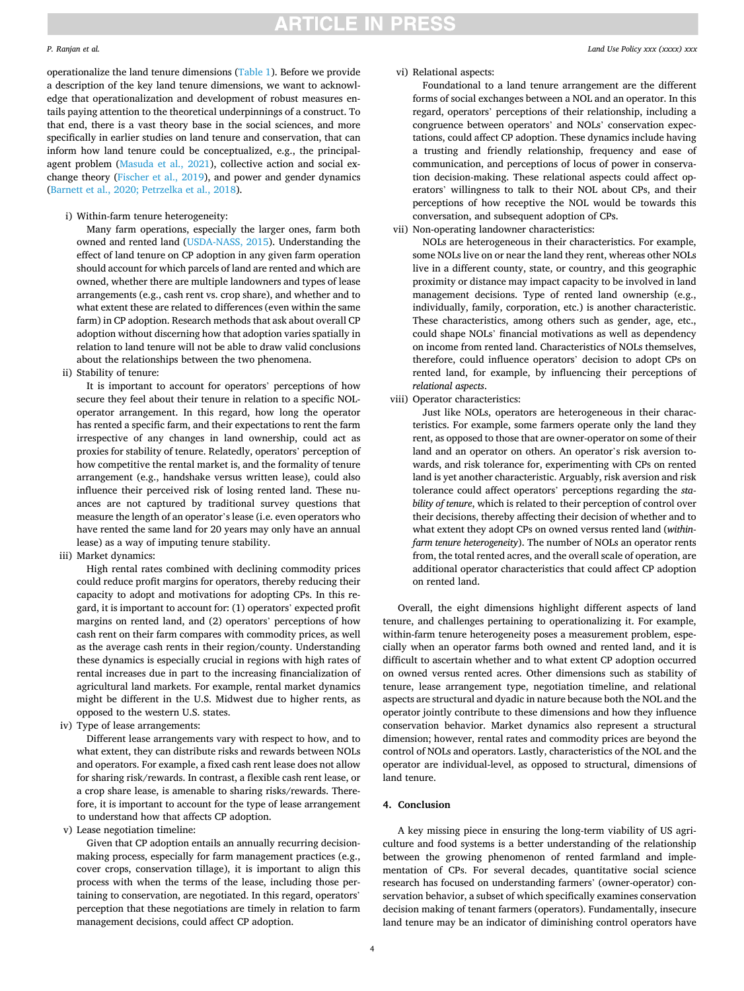# **ARTICLE IN PRESS**

#### *P. Ranjan et al.*

operationalize the land tenure dimensions ([Table 1](#page-2-0)). Before we provide a description of the key land tenure dimensions, we want to acknowledge that operationalization and development of robust measures entails paying attention to the theoretical underpinnings of a construct. To that end, there is a vast theory base in the social sciences, and more specifically in earlier studies on land tenure and conservation, that can inform how land tenure could be conceptualized, e.g., the principalagent problem ([Masuda et al., 2021](#page-4-0)), collective action and social exchange theory [\(Fischer et al., 2019](#page-4-0)), and power and gender dynamics ([Barnett et al., 2020; Petrzelka et al., 2018\)](#page-4-0).

i) Within-farm tenure heterogeneity:

Many farm operations, especially the larger ones, farm both owned and rented land ([USDA-NASS, 2015](#page-5-0)). Understanding the effect of land tenure on CP adoption in any given farm operation should account for which parcels of land are rented and which are owned, whether there are multiple landowners and types of lease arrangements (e.g., cash rent vs. crop share), and whether and to what extent these are related to differences (even within the same farm) in CP adoption. Research methods that ask about overall CP adoption without discerning how that adoption varies spatially in relation to land tenure will not be able to draw valid conclusions about the relationships between the two phenomena.

ii) Stability of tenure:

It is important to account for operators' perceptions of how secure they feel about their tenure in relation to a specific NOLoperator arrangement. In this regard, how long the operator has rented a specific farm, and their expectations to rent the farm irrespective of any changes in land ownership, could act as proxies for stability of tenure. Relatedly, operators' perception of how competitive the rental market is, and the formality of tenure arrangement (e.g., handshake versus written lease), could also influence their perceived risk of losing rented land. These nuances are not captured by traditional survey questions that measure the length of an operator's lease (i.e. even operators who have rented the same land for 20 years may only have an annual lease) as a way of imputing tenure stability.

iii) Market dynamics:

High rental rates combined with declining commodity prices could reduce profit margins for operators, thereby reducing their capacity to adopt and motivations for adopting CPs. In this regard, it is important to account for: (1) operators' expected profit margins on rented land, and (2) operators' perceptions of how cash rent on their farm compares with commodity prices, as well as the average cash rents in their region/county. Understanding these dynamics is especially crucial in regions with high rates of rental increases due in part to the increasing financialization of agricultural land markets. For example, rental market dynamics might be different in the U.S. Midwest due to higher rents, as opposed to the western U.S. states.

iv) Type of lease arrangements:

Different lease arrangements vary with respect to how, and to what extent, they can distribute risks and rewards between NOLs and operators. For example, a fixed cash rent lease does not allow for sharing risk/rewards. In contrast, a flexible cash rent lease, or a crop share lease, is amenable to sharing risks/rewards. Therefore, it is important to account for the type of lease arrangement to understand how that affects CP adoption.

v) Lease negotiation timeline:

Given that CP adoption entails an annually recurring decisionmaking process, especially for farm management practices (e.g., cover crops, conservation tillage), it is important to align this process with when the terms of the lease, including those pertaining to conservation, are negotiated. In this regard, operators' perception that these negotiations are timely in relation to farm management decisions, could affect CP adoption.

vi) Relational aspects:

Foundational to a land tenure arrangement are the different forms of social exchanges between a NOL and an operator. In this regard, operators' perceptions of their relationship, including a congruence between operators' and NOLs' conservation expectations, could affect CP adoption. These dynamics include having a trusting and friendly relationship, frequency and ease of communication, and perceptions of locus of power in conservation decision-making. These relational aspects could affect operators' willingness to talk to their NOL about CPs, and their perceptions of how receptive the NOL would be towards this conversation, and subsequent adoption of CPs.

vii) Non-operating landowner characteristics:

NOLs are heterogeneous in their characteristics. For example, some NOLs live on or near the land they rent, whereas other NOLs live in a different county, state, or country, and this geographic proximity or distance may impact capacity to be involved in land management decisions. Type of rented land ownership (e.g., individually, family, corporation, etc.) is another characteristic. These characteristics, among others such as gender, age, etc., could shape NOLs' financial motivations as well as dependency on income from rented land. Characteristics of NOLs themselves, therefore, could influence operators' decision to adopt CPs on rented land, for example, by influencing their perceptions of *relational aspects*.

viii) Operator characteristics:

Just like NOLs, operators are heterogeneous in their characteristics. For example, some farmers operate only the land they rent, as opposed to those that are owner-operator on some of their land and an operator on others. An operator's risk aversion towards, and risk tolerance for, experimenting with CPs on rented land is yet another characteristic. Arguably, risk aversion and risk tolerance could affect operators' perceptions regarding the *stability of tenure*, which is related to their perception of control over their decisions, thereby affecting their decision of whether and to what extent they adopt CPs on owned versus rented land (*withinfarm tenure heterogeneity*). The number of NOLs an operator rents from, the total rented acres, and the overall scale of operation, are additional operator characteristics that could affect CP adoption on rented land.

Overall, the eight dimensions highlight different aspects of land tenure, and challenges pertaining to operationalizing it. For example, within-farm tenure heterogeneity poses a measurement problem, especially when an operator farms both owned and rented land, and it is difficult to ascertain whether and to what extent CP adoption occurred on owned versus rented acres. Other dimensions such as stability of tenure, lease arrangement type, negotiation timeline, and relational aspects are structural and dyadic in nature because both the NOL and the operator jointly contribute to these dimensions and how they influence conservation behavior. Market dynamics also represent a structural dimension; however, rental rates and commodity prices are beyond the control of NOLs and operators. Lastly, characteristics of the NOL and the operator are individual-level, as opposed to structural, dimensions of land tenure.

#### **4. Conclusion**

A key missing piece in ensuring the long-term viability of US agriculture and food systems is a better understanding of the relationship between the growing phenomenon of rented farmland and implementation of CPs. For several decades, quantitative social science research has focused on understanding farmers' (owner-operator) conservation behavior, a subset of which specifically examines conservation decision making of tenant farmers (operators). Fundamentally, insecure land tenure may be an indicator of diminishing control operators have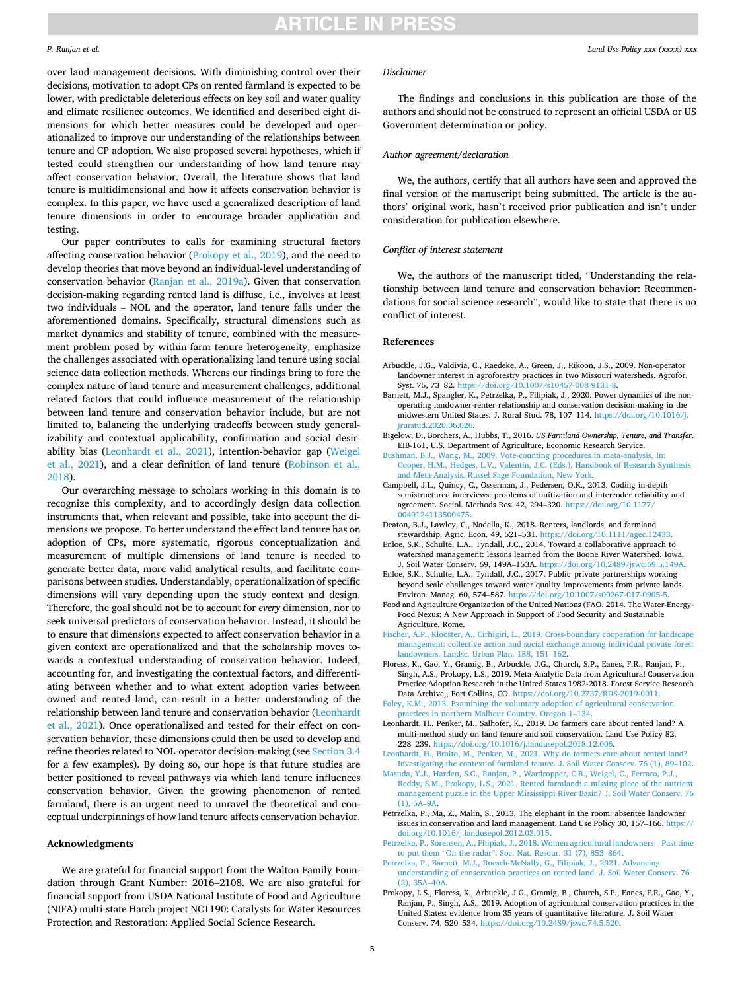# **ARTICLE IN PRESS**

#### <span id="page-4-0"></span>*P. Ranjan et al.*

*Land Use Policy xxx (xxxx) xxx*

over land management decisions. With diminishing control over their decisions, motivation to adopt CPs on rented farmland is expected to be lower, with predictable deleterious effects on key soil and water quality and climate resilience outcomes. We identified and described eight dimensions for which better measures could be developed and operationalized to improve our understanding of the relationships between tenure and CP adoption. We also proposed several hypotheses, which if tested could strengthen our understanding of how land tenure may affect conservation behavior. Overall, the literature shows that land tenure is multidimensional and how it affects conservation behavior is complex. In this paper, we have used a generalized description of land tenure dimensions in order to encourage broader application and testing.

Our paper contributes to calls for examining structural factors affecting conservation behavior (Prokopy et al., 2019), and the need to develop theories that move beyond an individual-level understanding of conservation behavior [\(Ranjan et al., 2019a](#page-5-0)). Given that conservation decision-making regarding rented land is diffuse, i.e., involves at least two individuals – NOL and the operator, land tenure falls under the aforementioned domains. Specifically, structural dimensions such as market dynamics and stability of tenure, combined with the measurement problem posed by within-farm tenure heterogeneity, emphasize the challenges associated with operationalizing land tenure using social science data collection methods. Whereas our findings bring to fore the complex nature of land tenure and measurement challenges, additional related factors that could influence measurement of the relationship between land tenure and conservation behavior include, but are not limited to, balancing the underlying tradeoffs between study generalizability and contextual applicability, confirmation and social desirability bias (Leonhardt et al., 2021), intention-behavior gap [\(Weigel](#page-5-0)  [et al., 2021](#page-5-0)), and a clear definition of land tenure [\(Robinson et al.,](#page-5-0)  [2018\)](#page-5-0).

Our overarching message to scholars working in this domain is to recognize this complexity, and to accordingly design data collection instruments that, when relevant and possible, take into account the dimensions we propose. To better understand the effect land tenure has on adoption of CPs, more systematic, rigorous conceptualization and measurement of multiple dimensions of land tenure is needed to generate better data, more valid analytical results, and facilitate comparisons between studies. Understandably, operationalization of specific dimensions will vary depending upon the study context and design. Therefore, the goal should not be to account for *every* dimension, nor to seek universal predictors of conservation behavior. Instead, it should be to ensure that dimensions expected to affect conservation behavior in a given context are operationalized and that the scholarship moves towards a contextual understanding of conservation behavior. Indeed, accounting for, and investigating the contextual factors, and differentiating between whether and to what extent adoption varies between owned and rented land, can result in a better understanding of the relationship between land tenure and conservation behavior (Leonhardt et al., 2021). Once operationalized and tested for their effect on conservation behavior, these dimensions could then be used to develop and refine theories related to NOL-operator decision-making (see [Section 3.4](#page-2-0)  for a few examples). By doing so, our hope is that future studies are better positioned to reveal pathways via which land tenure influences conservation behavior. Given the growing phenomenon of rented farmland, there is an urgent need to unravel the theoretical and conceptual underpinnings of how land tenure affects conservation behavior.

#### **Acknowledgments**

We are grateful for financial support from the Walton Family Foundation through Grant Number: 2016–2108. We are also grateful for financial support from USDA National Institute of Food and Agriculture (NIFA) multi-state Hatch project NC1190: Catalysts for Water Resources Protection and Restoration: Applied Social Science Research.

### *Disclaimer*

The findings and conclusions in this publication are those of the authors and should not be construed to represent an official USDA or US Government determination or policy.

### *Author agreement/declaration*

We, the authors, certify that all authors have seen and approved the final version of the manuscript being submitted. The article is the authors' original work, hasn't received prior publication and isn't under consideration for publication elsewhere.

### *Conflict of interest statement*

We, the authors of the manuscript titled, "Understanding the relationship between land tenure and conservation behavior: Recommendations for social science research", would like to state that there is no conflict of interest.

#### **References**

- Arbuckle, J.G., Valdivia, C., Raedeke, A., Green, J., Rikoon, J.S., 2009. Non-operator landowner interest in agroforestry practices in two Missouri watersheds. Agrofor. Syst. 75, 73–82. [https://doi.org/10.1007/s10457-008-9131-8.](https://doi.org/10.1007/s10457-008-9131-8)
- Barnett, M.J., Spangler, K., Petrzelka, P., Filipiak, J., 2020. Power dynamics of the nonoperating landowner-renter relationship and conservation decision-making in the midwestern United States. J. Rural Stud. 78, 107–114. [https://doi.org/10.1016/j.](https://doi.org/10.1016/j.jrurstud.2020.06.026)  [jrurstud.2020.06.026.](https://doi.org/10.1016/j.jrurstud.2020.06.026)
- Bigelow, D., Borchers, A., Hubbs, T., 2016. *US Farmland Ownership, Tenure, and Transfer*. EIB-161, U.S. Department of Agriculture, Economic Research Service.
- [Bushman, B.J., Wang, M., 2009. Vote-counting procedures in meta-analysis. In:](http://refhub.elsevier.com/S0264-8377(22)00188-0/sbref3)  [Cooper, H.M., Hedges, L.V., Valentin, J.C. \(Eds.\), Handbook of Research Synthesis](http://refhub.elsevier.com/S0264-8377(22)00188-0/sbref3) [and Meta-Analysis. Russel Sage Foundation, New York](http://refhub.elsevier.com/S0264-8377(22)00188-0/sbref3).
- Campbell, J.L., Quincy, C., Osserman, J., Pedersen, O.K., 2013. Coding in-depth semistructured interviews: problems of unitization and intercoder reliability and agreement. Sociol. Methods Res. 42, 294–320. [https://doi.org/10.1177/](https://doi.org/10.1177/0049124113500475)  0491241135004
- Deaton, B.J., Lawley, C., Nadella, K., 2018. Renters, landlords, and farmland stewardship. Agric. Econ. 49, 521–531. [https://doi.org/10.1111/agec.12433.](https://doi.org/10.1111/agec.12433)
- Enloe, S.K., Schulte, L.A., Tyndall, J.C., 2014. Toward a collaborative approach to watershed management: lessons learned from the Boone River Watershed, Iowa. J. Soil Water Conserv. 69, 149A–153A. [https://doi.org/10.2489/jswc.69.5.149A.](https://doi.org/10.2489/jswc.69.5.149A)
- Enloe, S.K., Schulte, L.A., Tyndall, J.C., 2017. Public–private partnerships working beyond scale challenges toward water quality improvements from private lands. Environ. Manag. 60, 574-587. https://doi.org/10.1007/s00267-017
- Food and Agriculture Organization of the United Nations (FAO, 2014. The Water-Energy-Food Nexus: A New Approach in Support of Food Security and Sustainable Agriculture. Rome.
- [Fischer, A.P., Klooster, A., Cirhigiri, L., 2019. Cross-boundary cooperation for landscape](http://refhub.elsevier.com/S0264-8377(22)00188-0/sbref8)  [management: collective action and social exchange among individual private forest](http://refhub.elsevier.com/S0264-8377(22)00188-0/sbref8)  [landowners. Landsc. Urban Plan. 188, 151](http://refhub.elsevier.com/S0264-8377(22)00188-0/sbref8)–162.
- Floress, K., Gao, Y., Gramig, B., Arbuckle, J.G., Church, S.P., Eanes, F.R., Ranjan, P., Singh, A.S., Prokopy, L.S., 2019. Meta-Analytic Data from Agricultural Conservation Practice Adoption Research in the United States 1982-2018. Forest Service Research Data Archive,, Fort Collins, CO. <https://doi.org/10.2737/RDS-2019-0011>.

[Foley, K.M., 2013. Examining the voluntary adoption of agricultural conservation](http://refhub.elsevier.com/S0264-8377(22)00188-0/sbref10)  [practices in northern Malheur Country. Oregon 1](http://refhub.elsevier.com/S0264-8377(22)00188-0/sbref10)–134.

- Leonhardt, H., Penker, M., Salhofer, K., 2019. Do farmers care about rented land? A multi-method study on land tenure and soil conservation. Land Use Policy 82, 228–239. [https://doi.org/10.1016/j.landusepol.2018.12.006.](https://doi.org/10.1016/j.landusepol.2018.12.006)
- [Leonhardt, H., Braito, M., Penker, M., 2021. Why do farmers care about rented land?](http://refhub.elsevier.com/S0264-8377(22)00188-0/sbref12)  [Investigating the context of farmland tenure. J. Soil Water Conserv. 76 \(1\), 89](http://refhub.elsevier.com/S0264-8377(22)00188-0/sbref12)–102.
- [Masuda, Y.J., Harden, S.C., Ranjan, P., Wardropper, C.B., Weigel, C., Ferraro, P.J.,](http://refhub.elsevier.com/S0264-8377(22)00188-0/sbref13) [Reddy, S.M., Prokopy, L.S., 2021. Rented farmland: a missing piece of the nutrient](http://refhub.elsevier.com/S0264-8377(22)00188-0/sbref13) [management puzzle in the Upper Mississippi River Basin? J. Soil Water Conserv. 76](http://refhub.elsevier.com/S0264-8377(22)00188-0/sbref13)  [\(1\), 5A](http://refhub.elsevier.com/S0264-8377(22)00188-0/sbref13)–9A.
- Petrzelka, P., Ma, Z., Malin, S., 2013. The elephant in the room: absentee landowner issues in conservation and land management. Land Use Policy 30, 157–166. [https://](https://doi.org/10.1016/j.landusepol.2012.03.015)  [doi.org/10.1016/j.landusepol.2012.03.015](https://doi.org/10.1016/j.landusepol.2012.03.015).
- [Petrzelka, P., Sorensen, A., Filipiak, J., 2018. Women agricultural landowners](http://refhub.elsevier.com/S0264-8377(22)00188-0/sbref15)—Past time to put them "On the radar"[. Soc. Nat. Resour. 31 \(7\), 853](http://refhub.elsevier.com/S0264-8377(22)00188-0/sbref15)–864.
- [Petrzelka, P., Barnett, M.J., Roesch-McNally, G., Filipiak, J., 2021. Advancing](http://refhub.elsevier.com/S0264-8377(22)00188-0/sbref16)  [understanding of conservation practices on rented land. J. Soil Water Conserv. 76](http://refhub.elsevier.com/S0264-8377(22)00188-0/sbref16) [\(2\), 35A](http://refhub.elsevier.com/S0264-8377(22)00188-0/sbref16)–40A.
- Prokopy, L.S., Floress, K., Arbuckle, J.G., Gramig, B., Church, S.P., Eanes, F.R., Gao, Y., Ranjan, P., Singh, A.S., 2019. Adoption of agricultural conservation practices in the United States: evidence from 35 years of quantitative literature. J. Soil Water Conserv. 74, 520–534. [https://doi.org/10.2489/jswc.74.5.520.](https://doi.org/10.2489/jswc.74.5.520)